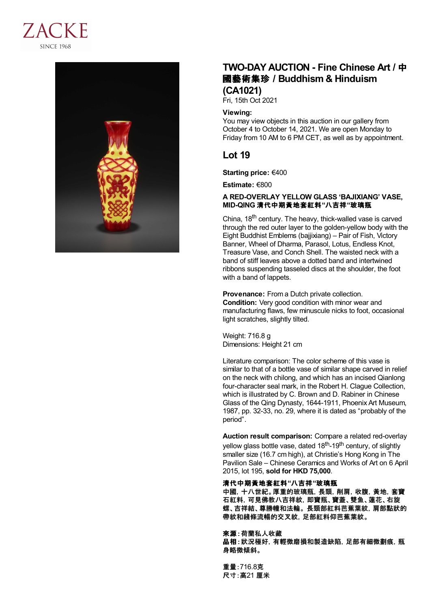



# **TWO-DAY AUCTION - Fine Chinese Art /** 中 國藝術集珍 **/Buddhism & Hinduism (CA1021)**

Fri, 15th Oct 2021

#### **Viewing:**

You may view objects in this auction in our gallery from October 4 to October 14, 2021. We are open Monday to Friday from 10 AM to 6 PM CET, as well as by appointment.

## **Lot 19**

**Starting price:** €400

**Estimate:** €800

### **A RED-OVERLAY YELLOW GLASS 'BAJIXIANG' VASE, MID-QING** 清代中期黃地套紅料**"**八吉祥**"**玻璃瓶

China, 18<sup>th</sup> century. The heavy, thick-walled vase is carved through the red outer layer to the golden-yellow body with the Eight Buddhist Emblems (bajjixiang) – Pair of Fish, Victory Banner, Wheel of Dharma, Parasol, Lotus, Endless Knot, Treasure Vase, and Conch Shell. The waisted neck with a band of stiff leaves above a dotted band and intertwined ribbons suspending tasseled discs at the shoulder, the foot with a band of lappets.

**Provenance:** From a Dutch private collection. **Condition:** Very good condition with minor wear and manufacturing flaws, few minuscule nicks to foot, occasional light scratches, slightly tilted.

Weight: 716.8 g Dimensions: Height 21 cm

Literature comparison: The color scheme of this vase is similar to that of a bottle vase of similar shape carved in relief on the neck with chilong, and which has an incised Qianlong four-character seal mark, in the Robert H. Clague Collection, which is illustrated by C. Brown and D. Rabiner in Chinese Glass of the Qing Dynasty, 1644-1911, Phoenix Art Museum, 1987, pp. 32-33, no. 29, where it is dated as "probably of the period".

**Auction result comparison:** Compare a related red-overlay yellow glass bottle vase, dated 18<sup>th</sup>-19<sup>th</sup> century, of slightly smaller size (16.7 cm high), at Christie's Hong Kong in The Pavilion Sale – Chinese Ceramics and Works of Art on 6 April 2015, lot 195, **sold for HKD 75,000**.

### 清代中期黃地套紅料**"**八吉祥**"**玻璃瓶

中國,十八世紀。厚重的玻璃瓶,長頸,削肩,收腹,黃地,套寶 石紅料,可見佛教八吉祥紋,即寶瓶、寶蓋、雙魚、蓮花、右旋 螺、吉祥結、尊勝幢和法輪。 長頸部紅料芭蕉葉紋,肩部點狀的 帶紋和綫條流暢的交叉紋,足部紅料仰芭蕉葉紋。

來源:荷蘭私人收藏 品相:狀況極好,有輕微磨損和製造缺陷,足部有細微劃痕,瓶 身略微傾斜。

重量:716.8克 尺寸:高21 厘米